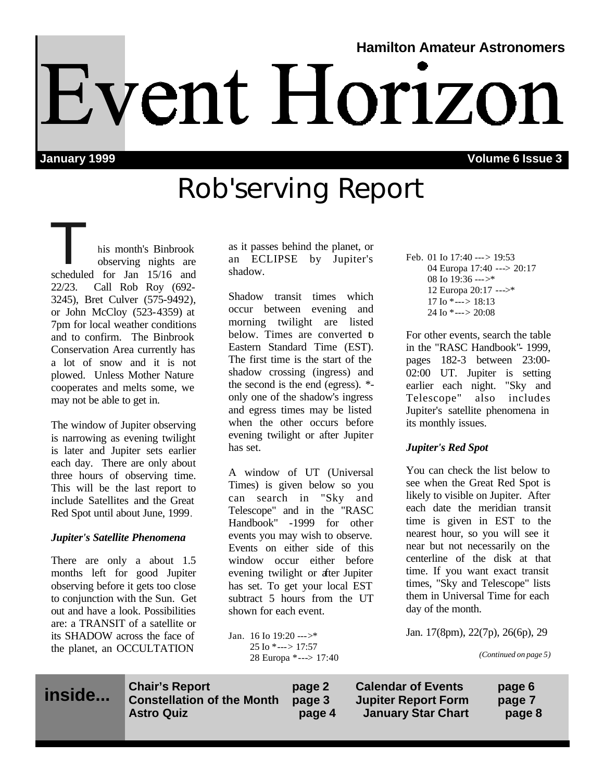# **Hamilton Amateur Astronomers** Event Horizon

**January 1999 Volume 6 Issue 3**

## Rob'serving Report

his month's Binbrook<br>
observing nights are<br>
scheduled for Jan 15/16 and observing nights are 22/23. Call Rob Roy (692- 3245), Bret Culver (575-9492), or John McCloy (523-4359) at 7pm for local weather conditions and to confirm. The Binbrook Conservation Area currently has a lot of snow and it is not plowed. Unless Mother Nature cooperates and melts some, we may not be able to get in.

The window of Jupiter observing is narrowing as evening twilight is later and Jupiter sets earlier each day. There are only about three hours of observing time. This will be the last report to include Satellites and the Great Red Spot until about June, 1999.

#### *Jupiter's Satellite Phenomena*

There are only a about 1.5 months left for good Jupiter observing before it gets too close to conjunction with the Sun. Get out and have a look. Possibilities are: a TRANSIT of a satellite or its SHADOW across the face of the planet, an OCCULTATION

as it passes behind the planet, or an ECLIPSE by Jupiter's shadow.

Shadow transit times which occur between evening and morning twilight are listed below. Times are converted to Eastern Standard Time (EST). The first time is the start of the shadow crossing (ingress) and the second is the end (egress). \* only one of the shadow's ingress and egress times may be listed when the other occurs before evening twilight or after Jupiter has set.

A window of UT (Universal Times) is given below so you can search in "Sky and Telescope" and in the "RASC Handbook" -1999 for other events you may wish to observe. Events on either side of this window occur either before evening twilight or after Jupiter has set. To get your local EST subtract 5 hours from the UT shown for each event.

Jan. 16 Io 19:20 --->\* 25 Io \*---> 17:57 28 Europa \*---> 17:40 Feb. 01 Io 17:40 ---> 19:53 04 Europa 17:40 ---> 20:17 08 Io 19:36 --->\* 12 Europa 20:17 --->\* 17 Io  $*$ ---> 18:13 24 Io  $*$ ---> 20:08

For other events, search the table in the "RASC Handbook"- 1999, pages 182-3 between 23:00- 02:00 UT. Jupiter is setting earlier each night. "Sky and Telescope" also includes Jupiter's satellite phenomena in its monthly issues.

#### *Jupiter's Red Spot*

You can check the list below to see when the Great Red Spot is likely to visible on Jupiter. After each date the meridian transit time is given in EST to the nearest hour, so you will see it near but not necessarily on the centerline of the disk at that time. If you want exact transit times, "Sky and Telescope" lists them in Universal Time for each day of the month.

Jan. 17(8pm), 22(7p), 26(6p), 29

*(Continued on page 5)*

**inside...**

**Chair's Report page 2 Calendar of Events page 6 Constellation of the Month page 3 Jupiter Report Form page 7 Astro Quiz page 4 January Star Chart page 8**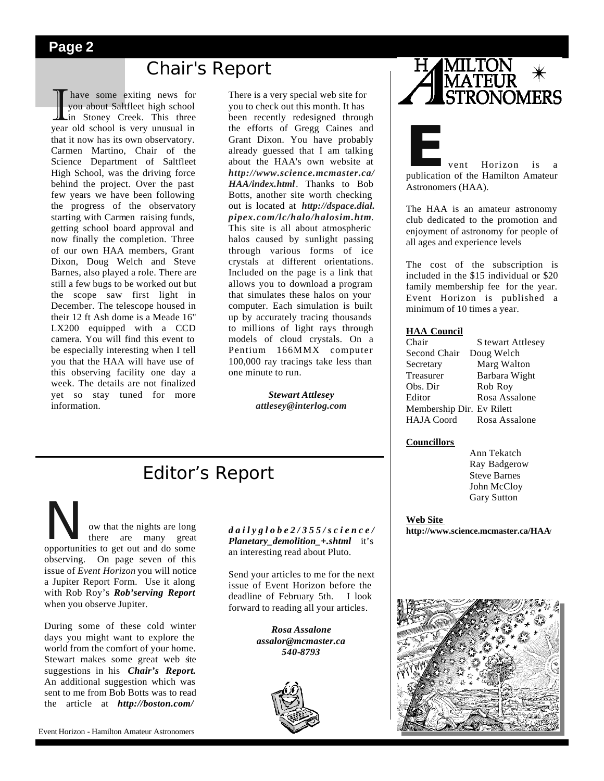## **Chair's Report**

I have some exiting news for<br>you about Saltfleet high school<br>in Stoney Creek. This three<br>year old school is very unusual in have some exiting news for you about Saltfleet high school **in** Stoney Creek. This three that it now has its own observatory. Carmen Martino, Chair of the Science Department of Saltfleet High School, was the driving force behind the project. Over the past few years we have been following the progress of the observatory starting with Carmen raising funds, getting school board approval and now finally the completion. Three of our own HAA members, Grant Dixon, Doug Welch and Steve Barnes, also played a role. There are still a few bugs to be worked out but the scope saw first light in December. The telescope housed in their 12 ft Ash dome is a Meade 16" LX200 equipped with a CCD camera. You will find this event to be especially interesting when I tell you that the HAA will have use of this observing facility one day a week. The details are not finalized yet so stay tuned for more information.

There is a very special web site for you to check out this month. It has been recently redesigned through the efforts of Gregg Caines and Grant Dixon. You have probably already guessed that I am talking about the HAA's own website at *http://www.science.mcmaster.ca/ HAA/index.html*. Thanks to Bob Botts, another site worth checking out is located at *http://dspace.dial. pipex.com/lc/halo/halosim.htm*. This site is all about atmospheric halos caused by sunlight passing through various forms of ice crystals at different orientations. Included on the page is a link that allows you to download a program that simulates these halos on your computer. Each simulation is built up by accurately tracing thousands to millions of light rays through models of cloud crystals. On a Pentium 166MMX computer 100,000 ray tracings take less than one minute to run.

> *Stewart Attlesey attlesey@interlog.com*



**External Structure 1.5 Feb**<br>
publication of the Hamilton Amateur Astronomers (HAA).

The HAA is an amateur astronomy club dedicated to the promotion and enjoyment of astronomy for people of all ages and experience levels

The cost of the subscription is included in the \$15 individual or \$20 family membership fee for the year. Event Horizon is published a minimum of 10 times a year.

#### **HAA Council**

| Chair                     | S tewart Attlesey |
|---------------------------|-------------------|
| Second Chair              | Doug Welch        |
| Secretary                 | Marg Walton       |
| Treasurer                 | Barbara Wight     |
| Obs. Dir                  | Rob Roy           |
| Editor                    | Rosa Assalone     |
| Membership Dir. Ev Rilett |                   |
| <b>HAJA</b> Coord         | Rosa Assalone     |

#### **Councillors**

 Ann Tekatch Ray Badgerow Steve Barnes John McCloy Gary Sutton

#### **Web Site http://www.science.mcmaster.ca/HAA/**



## Editor's Report

Now that the nights are long opportunities to get out and do some there are many great observing. On page seven of this issue of *Event Horizon* you will notice a Jupiter Report Form. Use it along with Rob Roy's *Rob'serving Report* when you observe Jupiter.

During some of these cold winter days you might want to explore the world from the comfort of your home. Stewart makes some great web site suggestions in his *Chair's Report.* An additional suggestion which was sent to me from Bob Botts was to read the article at *http://boston.com/*

#### *dailyglobe2/355/science/ Planetary\_demolition\_+.shtml* it's an interesting read about Pluto.

Send your articles to me for the next issue of Event Horizon before the deadline of February 5th. I look forward to reading all your articles.

> *Rosa Assalone assalor@mcmaster.ca 540-8793*

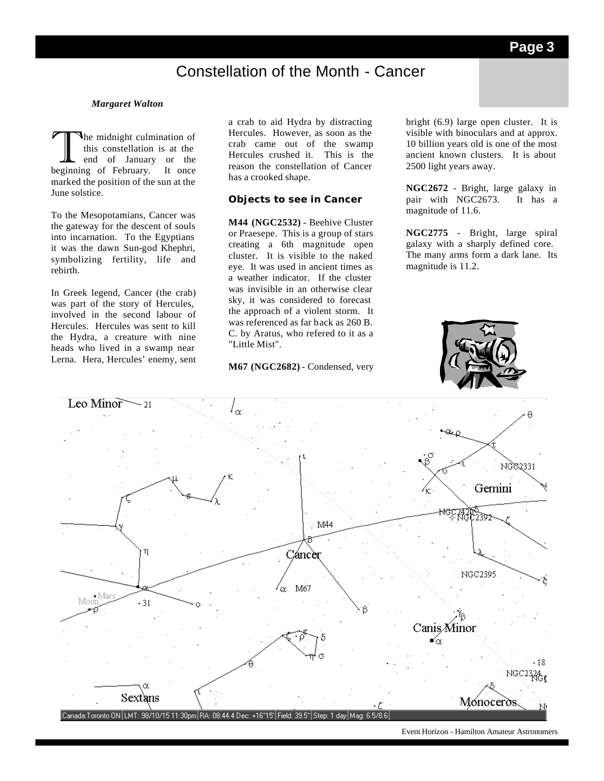## Constellation of the Month - Cancer

#### *Margaret Walton*

The midnight culmination of<br>
this constellation is at the<br>
end of January or the<br>
beginning of February. It once he midnight culmination of this constellation is at the end of January or the marked the position of the sun at the June solstice.

To the Mesopotamians, Cancer was the gateway for the descent of souls into incarnation. To the Egyptians it was the dawn Sun-god Khephri, symbolizing fertility, life and rebirth.

In Greek legend, Cancer (the crab) was part of the story of Hercules, involved in the second labour of Hercules. Hercules was sent to kill the Hydra, a creature with nine heads who lived in a swamp near Lerna. Hera, Hercules' enemy, sent a crab to aid Hydra by distracting Hercules. However, as soon as the crab came out of the swamp Hercules crushed it. This is the reason the constellation of Cancer has a crooked shape.

#### **Objects to see in Cancer**

**M44 (NGC2532)** - Beehive Cluster or Praesepe. This is a group of stars creating a 6th magnitude open cluster. It is visible to the naked eye. It was used in ancient times as a weather indicator. If the cluster was invisible in an otherwise clear sky, it was considered to forecast the approach of a violent storm. It was referenced as far back as 260 B. C. by Aratus, who refered to it as a "Little Mist".

#### **M67 (NGC2682)** - Condensed, very

bright (6.9) large open cluster. It is visible with binoculars and at approx. 10 billion years old is one of the most ancient known clusters. It is about 2500 light years away.

**NGC2672** - Bright, large galaxy in pair with NGC2673. It has a magnitude of 11.6.

**NGC2775** - Bright, large spiral galaxy with a sharply defined core. The many arms form a dark lane. Its magnitude is 11.2.





Event Horizon - Hamilton Amateur Astronomers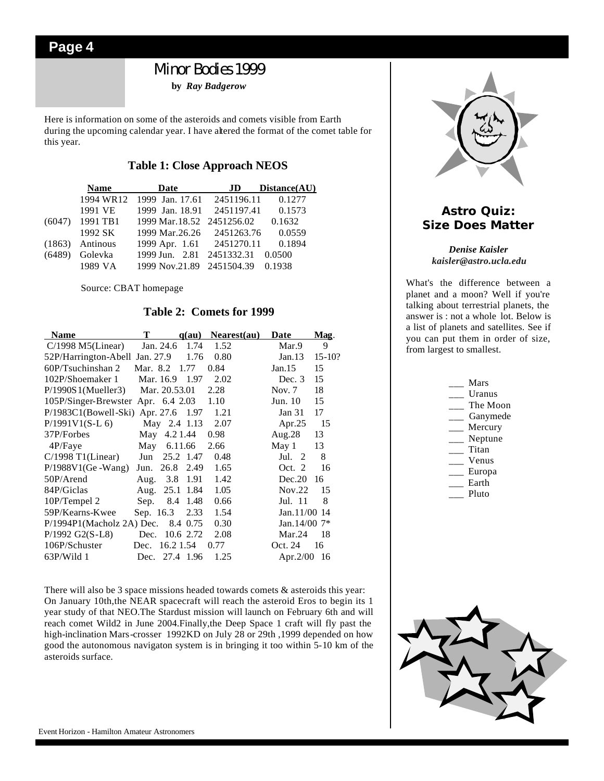## Minor Bodies 1999

**by** *Ray Badgerow* 

Here is information on some of the asteroids and comets visible from Earth during the upcoming calendar year. I have altered the format of the comet table for this year.

#### **Table 1: Close Approach NEOS**

|        | <b>Name</b>       | Date                       | - JD       | Distance(AU) |
|--------|-------------------|----------------------------|------------|--------------|
|        | 1994 WR12         | 1999 Jan. 17.61 2451196.11 |            | 0.1277       |
|        | 1991 VE           | 1999 Jan. 18.91 2451197.41 |            | 0.1573       |
| (6047) | 1991 TB1          | 1999 Mar.18.52 2451256.02  |            | 0.1632       |
|        | 1992 SK           | 1999 Mar.26.26 2451263.76  |            | 0.0559       |
|        | $(1863)$ Antinous | 1999 Apr. 1.61 2451270.11  |            | 0.1894       |
| (6489) | Golevka           | 1999 Jun. 2.81             | 2451332.31 | 0.0500       |
|        | 1989 VA           | 1999 Nov.21.89 2451504.39  |            | 0.1938       |

Source: CBAT homepage

#### **Table 2: Comets for 1999**

| <b>Name</b>                           | т         |               | q(au)    | Nearest(au) | Date                 | Mag.       |
|---------------------------------------|-----------|---------------|----------|-------------|----------------------|------------|
| $C/1998$ M5(Linear)                   |           | Jan. 24.6     | 1.74     | 1.52        | Mar.9                | 9          |
| 52P/Harrington-Abell Jan. 27.9        |           |               | 1.76     | 0.80        | Jan.13               | $15 - 10?$ |
| 60P/Tsuchinshan 2                     | Mar. 8.2  |               | 1.77     | 0.84        | Jan.15               | 15         |
| 102P/Shoemaker 1                      | Mar. 16.9 |               | 1.97     | 2.02        | Dec. $3$             | 15         |
| P/1990S1(Mueller3)                    |           | Mar. 20.53.01 |          | 2.28        | Nov. $7$             | 18         |
| 105P/Singer-Brewster Apr. 6.4 2.03    |           |               |          | 1.10        | Jun. 10              | 15         |
| $P/1983C1(Bowell-Ski)$ Apr. 27.6 1.97 |           |               |          | 1.21        | Jan 31               | 17         |
| $P/1991V1(S-L 6)$                     |           | May 2.4 1.13  |          | 2.07        | Apr. $25$            | -15        |
| 37P/Forbes                            | May       | 4.21.44       |          | 0.98        | Aug. $28$            | 13         |
| 4P/Faye                               | May       | 6.11.66       |          | 2.66        | May 1                | 13         |
| $C/1998$ T1(Linear)                   | Jun       | 25.2 1.47     |          | 0.48        | Jul.<br><sup>2</sup> | 8          |
| $P/1988V1$ (Ge -Wang)                 | Jun.      | 26.8          | 2.49     | 1.65        | Oct. 2               | 16         |
| 50P/Arend                             |           | Aug. 3.8 1.91 |          | 1.42        | Dec.20               | 16         |
| 84P/Giclas                            | Aug.      | 25.1          | 1.84     | 1.05        | Nov.22               | 15         |
| 10P/Tempel 2                          | Sep.      | 8.4           | 1.48     | 0.66        | Jul. 11              | 8          |
| 59P/Kearns-Kwee                       | Sep. 16.3 |               | 2.33     | 1.54        | Jan.11/00 14         |            |
| P/1994P1(Macholz 2A) Dec.             |           |               | 8.4 0.75 | 0.30        | Jan. $14/00$ 7*      |            |
| P/1992 G2(S-L8)                       | Dec.      | 10.6 2.72     |          | 2.08        | Mar.24               | 18         |
| 106P/Schuster                         | Dec.      | 16.2 1.54     |          | 0.77        | Oct. 24              | 16         |
| $63P/W$ ild 1                         | Dec.      | 27.4 1.96     |          | 1.25        | Apr. $2/00$          | 16         |

There will also be 3 space missions headed towards comets  $\&$  asteroids this year: On January 10th,the NEAR spacecraft will reach the asteroid Eros to begin its 1 year study of that NEO.The Stardust mission will launch on February 6th and will reach comet Wild2 in June 2004.Finally,the Deep Space 1 craft will fly past the high-inclination Mars-crosser 1992KD on July 28 or 29th ,1999 depended on how good the autonomous navigaton system is in bringing it too within 5-10 km of the asteroids surface.



#### **Astro Quiz: Size Does Matter**

#### *Denise Kaisler kaisler@astro.ucla.edu*

What's the difference between a planet and a moon? Well if you're talking about terrestrial planets, the answer is : not a whole lot. Below is a list of planets and satellites. See if you can put them in order of size, from largest to smallest.

| Mars     |
|----------|
| Uranus   |
| The Moon |
| Ganymede |
| Mercury  |
| Neptune  |
| Titan    |
| Venus    |
| Europa   |
| Earth    |
| Pluto    |
|          |
|          |
|          |
|          |
|          |
|          |
|          |

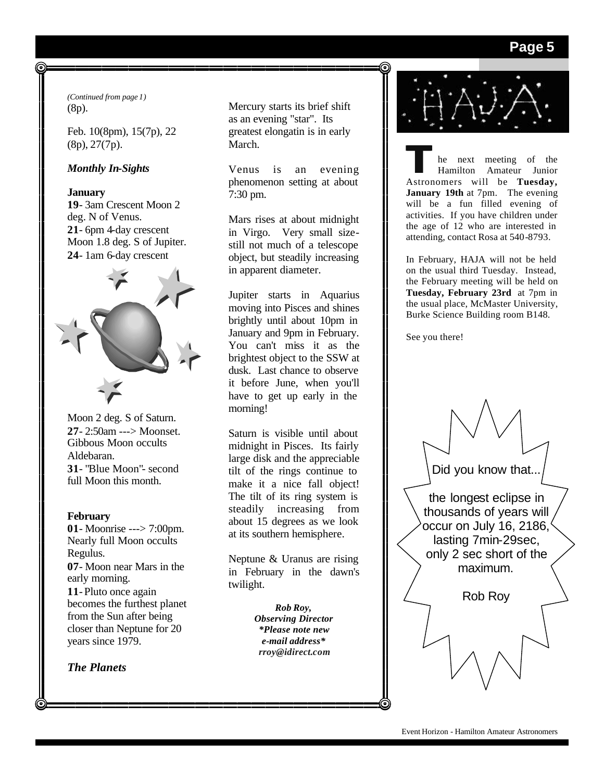#### **Page 5**

*(Continued from page 1)* (8p).

Feb. 10(8pm), 15(7p), 22 (8p), 27(7p).

#### *Monthly In-Sights*

#### **January**

**19**- 3am Crescent Moon 2 deg. N of Venus. **21**- 6pm 4-day crescent Moon 1.8 deg. S of Jupiter. **24**- 1am 6-day crescent



Moon 2 deg. S of Saturn. **27**- 2:50am ---> Moonset. Gibbous Moon occults Aldebaran. **31**- "Blue Moon"- second full Moon this month.

#### **February**

**01**- Moonrise ---> 7:00pm. Nearly full Moon occults Regulus. **07**- Moon near Mars in the early morning. **11**-Pluto once again becomes the furthest planet from the Sun after being closer than Neptune for 20 years since 1979.

*The Planets*

Mercury starts its brief shift as an evening "star". Its greatest elongatin is in early March.

Venus is an evening phenomenon setting at about 7:30 pm.

Mars rises at about midnight in Virgo. Very small sizestill not much of a telescope object, but steadily increasing in apparent diameter.

Jupiter starts in Aquarius moving into Pisces and shines brightly until about 10pm in January and 9pm in February. You can't miss it as the brightest object to the SSW at dusk. Last chance to observe it before June, when you'll have to get up early in the morning!

Saturn is visible until about midnight in Pisces. Its fairly large disk and the appreciable tilt of the rings continue to make it a nice fall object! The tilt of its ring system is steadily increasing from about 15 degrees as we look at its southern hemisphere.

Neptune & Uranus are rising in February in the dawn's twilight.

> *Rob Roy, Observing Director \*Please note new e-mail address\* rroy@idirect.com*



**T**he next meeting of the Hamilton Amateur Junior Astronomers will be **Tuesday, January 19th** at 7pm. The evening will be a fun filled evening of activities. If you have children under the age of 12 who are interested in attending, contact Rosa at 540-8793.

In February, HAJA will not be held on the usual third Tuesday. Instead, the February meeting will be held on **Tuesday, February 23rd** at 7pm in the usual place, McMaster University, Burke Science Building room B148.

See you there!